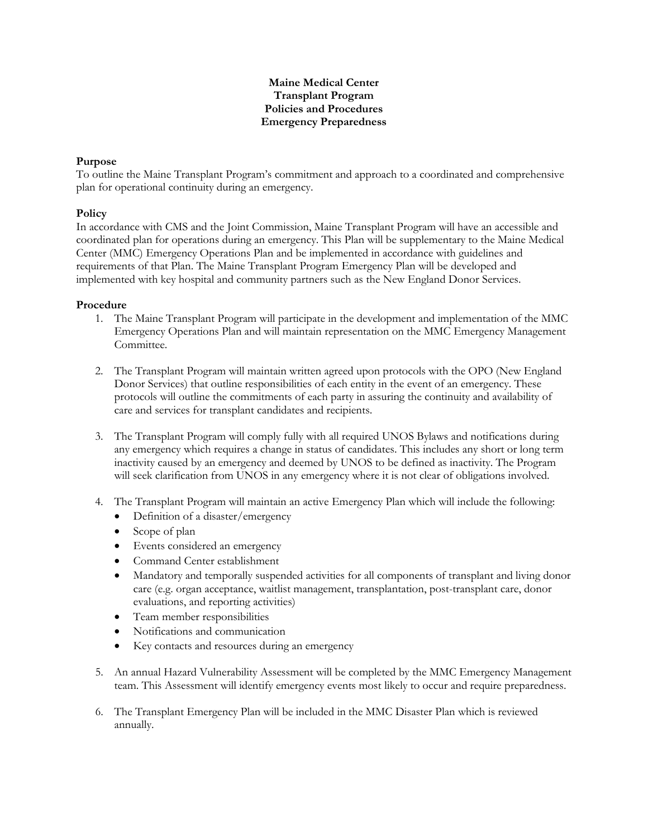## **Maine Medical Center Transplant Program Policies and Procedures Emergency Preparedness**

## **Purpose**

To outline the Maine Transplant Program's commitment and approach to a coordinated and comprehensive plan for operational continuity during an emergency.

## **Policy**

In accordance with CMS and the Joint Commission, Maine Transplant Program will have an accessible and coordinated plan for operations during an emergency. This Plan will be supplementary to the Maine Medical Center (MMC) Emergency Operations Plan and be implemented in accordance with guidelines and requirements of that Plan. The Maine Transplant Program Emergency Plan will be developed and implemented with key hospital and community partners such as the New England Donor Services.

## **Procedure**

- 1. The Maine Transplant Program will participate in the development and implementation of the MMC Emergency Operations Plan and will maintain representation on the MMC Emergency Management Committee.
- 2. The Transplant Program will maintain written agreed upon protocols with the OPO (New England Donor Services) that outline responsibilities of each entity in the event of an emergency. These protocols will outline the commitments of each party in assuring the continuity and availability of care and services for transplant candidates and recipients.
- 3. The Transplant Program will comply fully with all required UNOS Bylaws and notifications during any emergency which requires a change in status of candidates. This includes any short or long term inactivity caused by an emergency and deemed by UNOS to be defined as inactivity. The Program will seek clarification from UNOS in any emergency where it is not clear of obligations involved.
- 4. The Transplant Program will maintain an active Emergency Plan which will include the following:
	- Definition of a disaster/emergency
	- Scope of plan
	- Events considered an emergency
	- Command Center establishment
	- Mandatory and temporally suspended activities for all components of transplant and living donor care (e.g. organ acceptance, waitlist management, transplantation, post-transplant care, donor evaluations, and reporting activities)
	- Team member responsibilities
	- Notifications and communication
	- Key contacts and resources during an emergency
- 5. An annual Hazard Vulnerability Assessment will be completed by the MMC Emergency Management team. This Assessment will identify emergency events most likely to occur and require preparedness.
- 6. The Transplant Emergency Plan will be included in the MMC Disaster Plan which is reviewed annually.